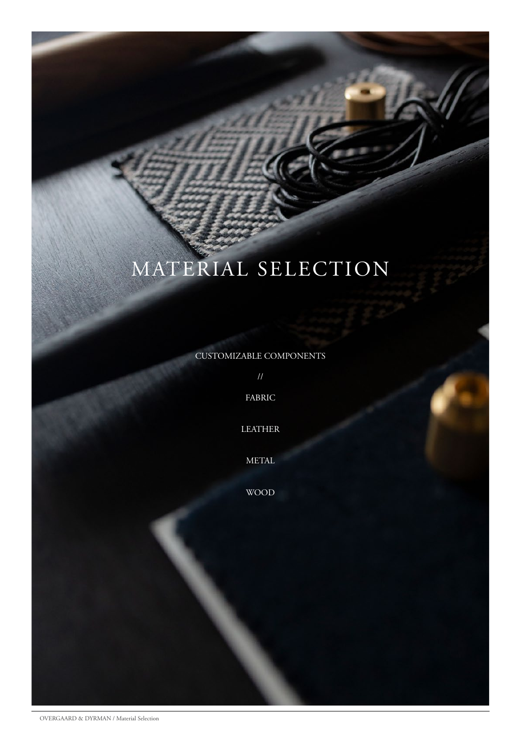# MATERIAL SELECTION

[CUSTOMIZABLE COMPONENTS](#page-1-0)

//

[FABRIC](#page-3-0)

[LEATHER](#page-5-0)

[METAL](#page-8-0)

[WOOD](#page-10-0)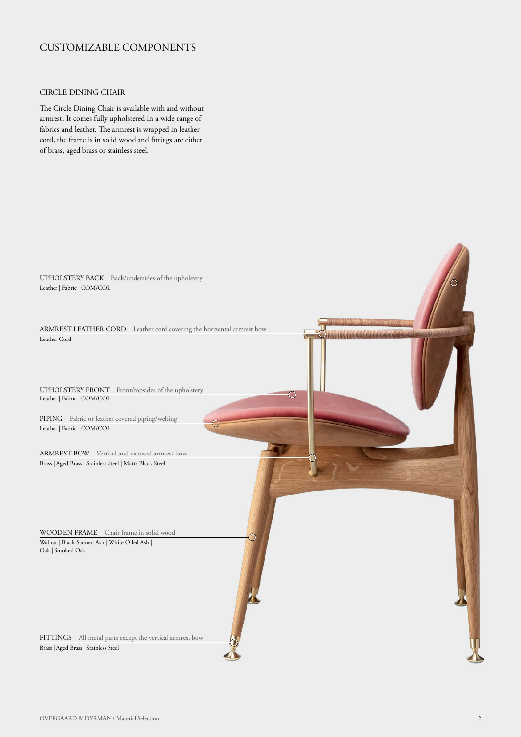# <span id="page-1-0"></span>CUSTOMIZABLE COMPONENTS

### CIRCLE DINING CHAIR

The Circle Dining Chair is available with and without armrest. It comes fully upholstered in a wide range of fabrics and leather. The armrest is wrapped in leather cord, the frame is in solid wood and fittings are either of brass, aged brass or stainless steel.

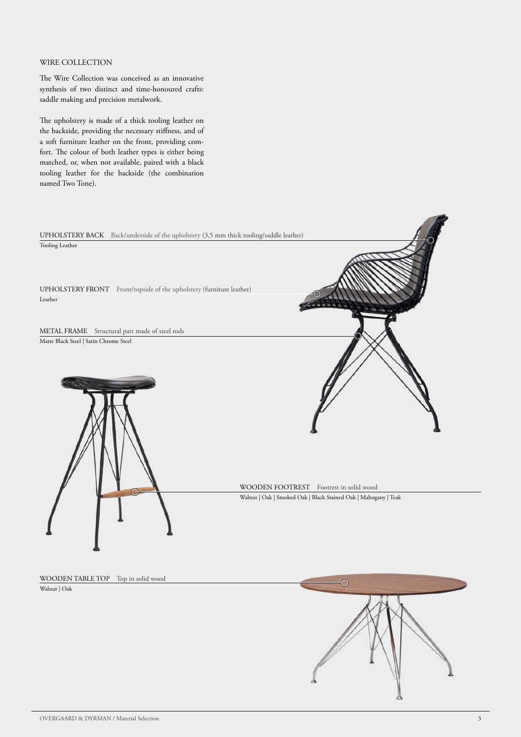### WIRE COLLECTION

The Wire Collection was conceived as an innovative synthesis of two distinct and time-honoured crafts: saddle making and precision metalwork.

The upholstery is made of a thick tooling leather on the backside, providing the necessary stiffness, and of a soft furniture leather on the front, providing comfort. The colour of both leather types is either being matched, or, when not available, paired with a black tooling leather for the backside (the combination named Two Tone).



WOODEN TABLE TOP Top in solid wood

Walnut | Oak

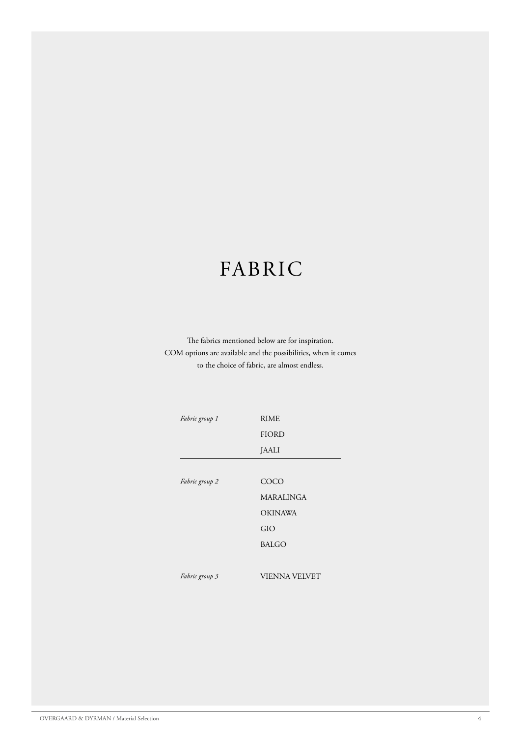# <span id="page-3-0"></span>FABRIC

The fabrics mentioned below are for inspiration. COM options are available and the possibilities, when it comes to the choice of fabric, are almost endless.

| Fabric group 1 | <b>RIME</b>      |
|----------------|------------------|
|                | <b>FIORD</b>     |
|                | <b>JAALI</b>     |
|                |                  |
| Fabric group 2 | COCO             |
|                | <b>MARALINGA</b> |
|                | <b>OKINAWA</b>   |
|                | GIO              |
|                | <b>BALGO</b>     |
|                |                  |

*Fabric group 3*

VIENNA VELVET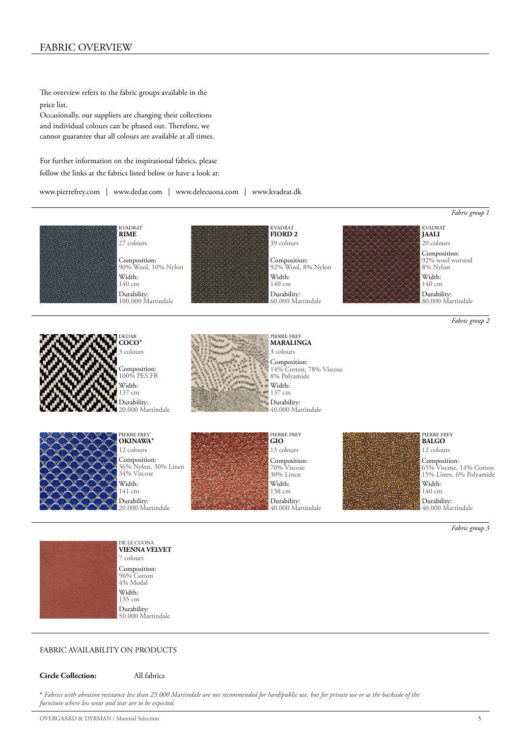### FABRIC OVERVIEW

The overview refers to the fabric groups available in the price list.

Occasionally, our suppliers are changing their collections and individual colours can be phased out. Therefore, we cannot guarantee that all colours are available at all times.

For further information on the inspirational fabrics, please follow the links at the fabrics listed below or have a look at:

[www.pierrefrey.com](http://www.pierrefrey.com) | [www.dedar.com](http://www.dedar.com) | [www.delecuona.com](http://www.delecuona.com) | [www.kvadrat.dk](http://www.kvadrat.dk) 





Width: 141 cm Composition: [36% Nylon, 30% Linen](https://www.pierrefrey.com/en/products/B7637-B7637006) 34% Viscose Durability: 20.000 Martindale



Width: 138 cm Composition: 70% Viscose 30% Linen Durability: [40.000 Martindale](https://www.pierrefrey.com/en/products/I6586-I6586007)



Width: 140 cm Composition: [65% Viscose, 14% Cotton](https://www.pierrefrey.com/en/products/F3011-F3011006) 15% Linen, 6% Polyamide Durability: 40.000 Martindale

*Fabric group 3*



Width: 135 cm 7 colours **[VIENNA VELVET](https://delecuona.com/products/vienna-velvet-flamenco?_pos=2&_sid=aa80c4a70&_ss=r)** Composition: 96% Cotton 4% Modal Durability: 50.000 Martindale

#### FABRIC AVAILABILITY ON PRODUCTS

**Circle Collection:** All fabrics

\* *Fabrics with abrasion resistance less than 25.000 Martindale are not recommended for hard/public use, but for private use or as the backside of the furniture where less wear and tear are to be expected.*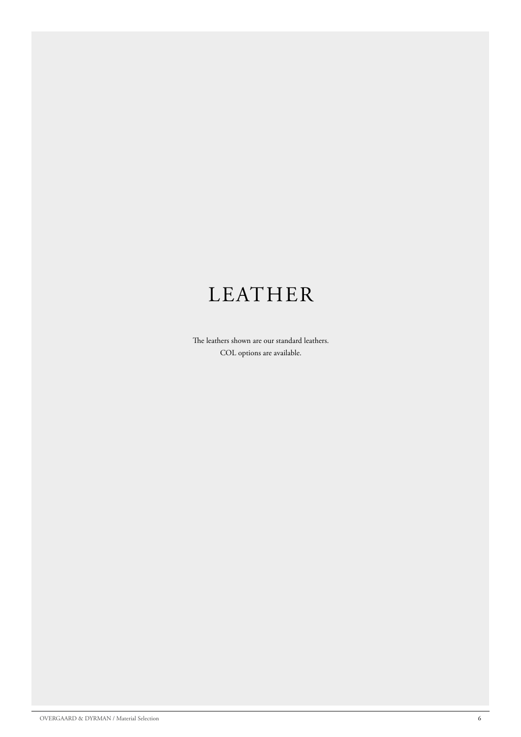# <span id="page-5-0"></span>LEATHER

The leathers shown are our standard leathers. COL options are available.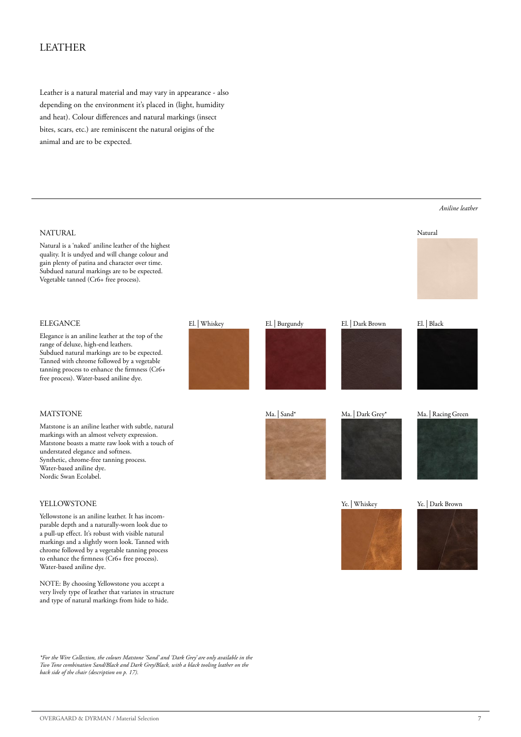# LEATHER

Leather is a natural material and may vary in appearance - also depending on the environment it's placed in (light, humidity and heat). Colour differences and natural markings (insect bites, scars, etc.) are reminiscent the natural origins of the animal and are to be expected.

# ELEGANCE El. | Whiskey El. | Burgundy El. | Dark Brown El. | Black Elegance is an aniline leather at the top of the range of deluxe, high-end leathers. Subdued natural markings are to be expected. Tanned with chrome followed by a vegetable tanning process to enhance the firmness (Cr6+ free process). Water-based aniline dye. NATURAL Natural is a 'naked' aniline leather of the highest quality. It is undyed and will change colour and gain plenty of patina and character over time. Subdued natural markings are to be expected. Vegetable tanned (Cr6+ free process). **MATSTONE** Matstone is an aniline leather with subtle, natural markings with an almost velvety expression. Matstone boasts a matte raw look with a touch of understated elegance and softness. Synthetic, chrome-free tanning process. Water-based aniline dye. Nordic Swan Ecolabel. YELLOWSTONE Yellowstone is an aniline leather. It has incomparable depth and a naturally-worn look due to a pull-up effect. It's robust with visible natural markings and a slightly worn look. Tanned with chrome followed by a vegetable tanning process to enhance the firmness (Cr6+ free process). Water-based aniline dye. NOTE: By choosing Yellowstone you accept a very lively type of leather that variates in structure and type of natural markings from hide to hide. *Aniline leather* Ma. | Sand\* Ma. | Dark Grey\* Ma. | Racing Green Ye. | Whiskey Ye. | Dark Brown Natural Ma. | Dark Grey\*

*\*For the Wire Collection, the colours Matstone 'Sand' and 'Dark Grey' are only available in the Two Tone combination Sand/Black and Dark Grey/Black, with a black tooling leather on the back side of the chair (description on p. 17).*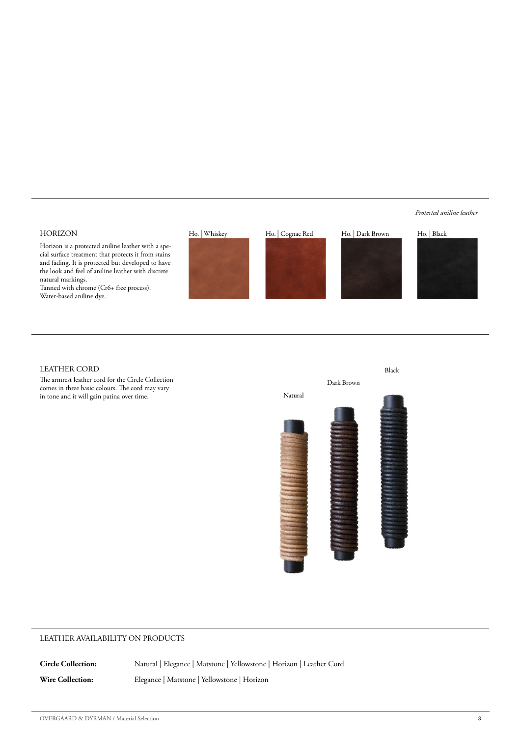## HORIZON

Horizon is a protected aniline leather with a special surface treatment that protects it from stains and fading. It is protected but developed to have the look and feel of aniline leather with discrete natural markings.

Tanned with chrome (Cr6+ free process). Water-based aniline dye.







*Protected aniline leather*



#### LEATHER CORD

The armrest leather cord for the Circle Collection comes in three basic colours. The cord may vary in tone and it will gain patina over time.



### LEATHER AVAILABILITY ON PRODUCTS

**Circle Collection:** Natural | Elegance | Matstone | Yellowstone | Horizon | Leather Cord

**Wire Collection:** Elegance | Matstone | Yellowstone | Horizon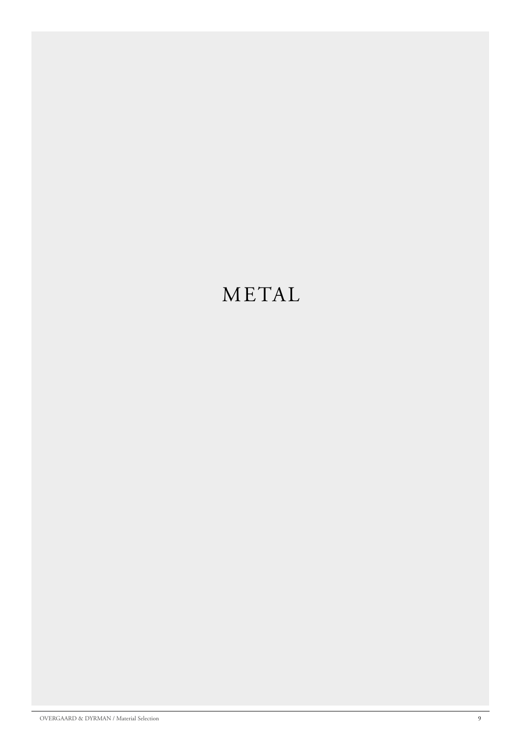# <span id="page-8-0"></span>METAL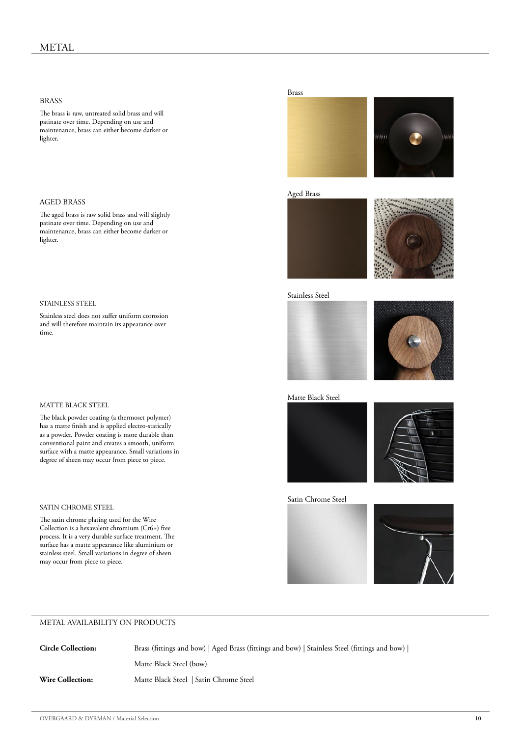#### BRASS

The brass is raw, untreated solid brass and will patinate over time. Depending on use and maintenance, brass can either become darker or lighter.

#### AGED BRASS

The aged brass is raw solid brass and will slightly patinate over time. Depending on use and maintenance, brass can either become darker or lighter.

#### STAINLESS STEEL

Stainless steel does not suffer uniform corrosion and will therefore maintain its appearance over time.

#### MATTE BLACK STEEL

The black powder coating (a thermoset polymer) has a matte finish and is applied electro-statically as a powder. Powder coating is more durable than conventional paint and creates a smooth, uniform surface with a matte appearance. Small variations in degree of sheen may occur from piece to piece.

#### SATIN CHROME STEEL

The satin chrome plating used for the Wire Collection is a hexavalent chromium (Cr6+) free process. It is a very durable surface treatment. The surface has a matte appearance like aluminium or stainless steel. Small variations in degree of sheen may occur from piece to piece.

#### Brass



#### Aged Brass



#### Stainless Steel





Matte Black Steel





Satin Chrome Steel





#### METAL AVAILABILITY ON PRODUCTS

**Circle Collection:** Brass (fittings and bow) | Aged Brass (fittings and bow) | Stainless Steel (fittings and bow) | Matte Black Steel (bow) **Wire Collection:** Matte Black Steel | Satin Chrome Steel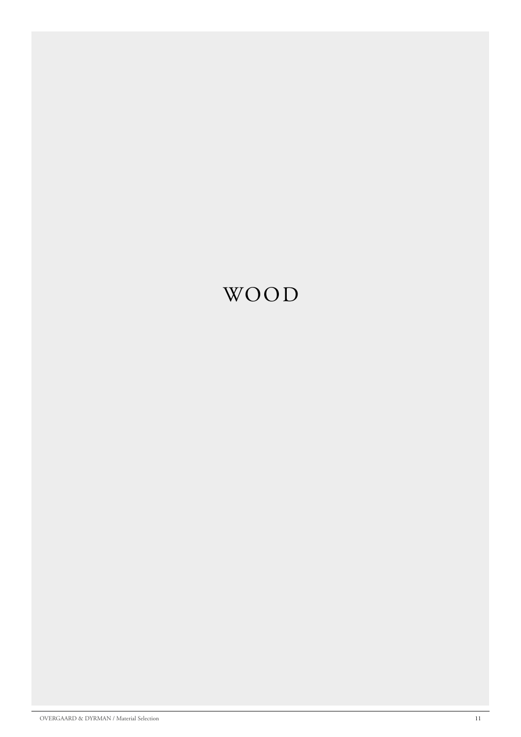# <span id="page-10-0"></span>WOOD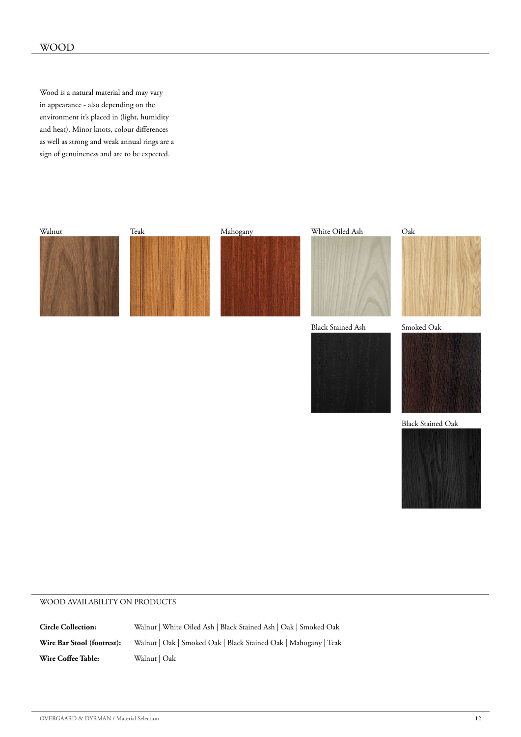Wood is a natural material and may vary in appearance - also depending on the environment it's placed in (light, humidity and heat). Minor knots, colour differences as well as strong and weak annual rings are a sign of genuineness and are to be expected.



#### WOOD AVAILABILITY ON PRODUCTS

**Circle Collection:** Walnut | White Oiled Ash | Black Stained Ash | Oak | Smoked Oak **Wire Bar Stool (footrest):** Walnut | Oak | Smoked Oak | Black Stained Oak | Mahogany | Teak **Wire Coffee Table:** Walnut | Oak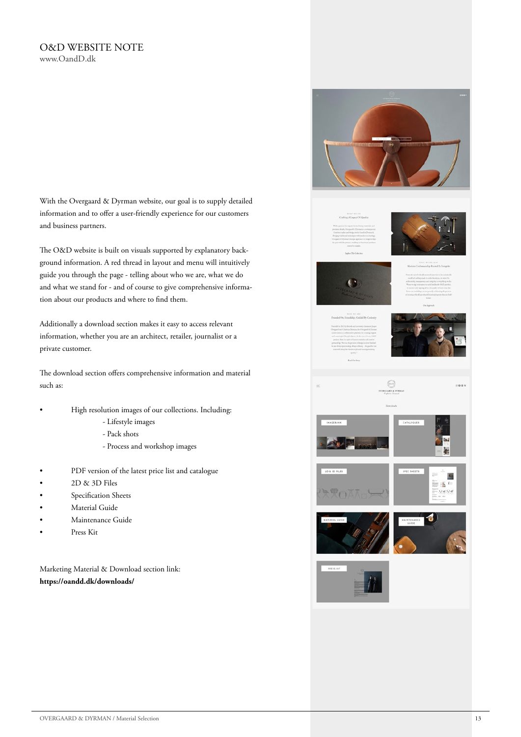### O&D WEBSITE NOTE [www.OandD.dk](http://www.OandD.dk)

With the Overgaard & Dyrman website, our goal is to supply detailed information and to offer a user-friendly experience for our customers and business partners.

The O&D website is built on visuals supported by explanatory background information. A red thread in layout and menu will intuitively guide you through the page - telling about who we are, what we do and what we stand for - and of course to give comprehensive information about our products and where to find them.

Additionally a download section makes it easy to access relevant information, whether you are an architect, retailer, journalist or a private customer.

The download section offers comprehensive information and material such as:

- High resolution images of our collections. Including:
	- Lifestyle images
	- Pack shots
	- Process and workshop images
- PDF version of the latest price list and catalogue
- 2D & 3D Files
- Specification Sheets
- Material Guide
- Maintenance Guide
- Press Kit

Marketing Material & Download section link: **<https://oandd.dk/downloads/>**